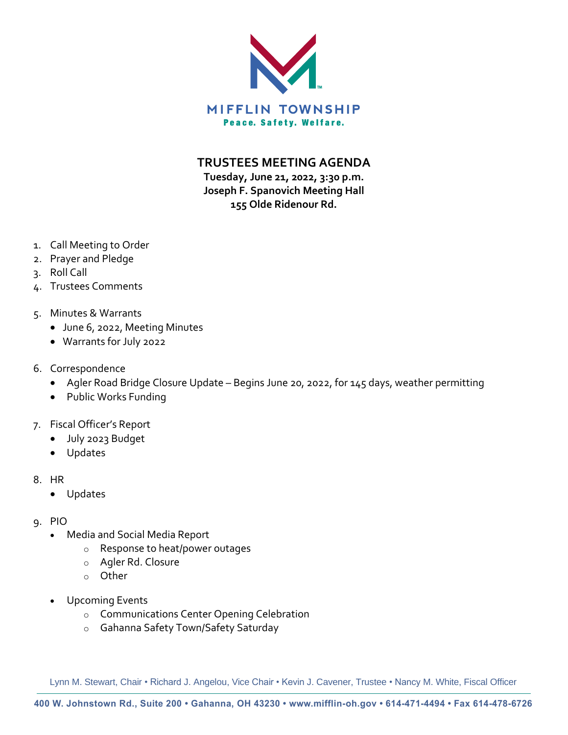

**TRUSTEES MEETING AGENDA**

**Tuesday, June 21, 2022, 3:30 p.m. Joseph F. Spanovich Meeting Hall 155 Olde Ridenour Rd.**

- 1. Call Meeting to Order
- 2. Prayer and Pledge
- 3. Roll Call
- 4. Trustees Comments
- 5. Minutes & Warrants
	- June 6, 2022, Meeting Minutes
	- Warrants for July 2022
- 6. Correspondence
	- Agler Road Bridge Closure Update Begins June 20, 2022, for 145 days, weather permitting
	- Public Works Funding
- 7. Fiscal Officer's Report
	- July 2023 Budget
	- Updates
- 8. HR
	- Updates
- 9. PIO
	- Media and Social Media Report
		- o Response to heat/power outages
		- o Agler Rd. Closure
		- o Other
	- Upcoming Events
		- o Communications Center Opening Celebration
		- o Gahanna Safety Town/Safety Saturday

Lynn M. Stewart, Chair • Richard J. Angelou, Vice Chair • Kevin J. Cavener, Trustee • Nancy M. White, Fiscal Officer